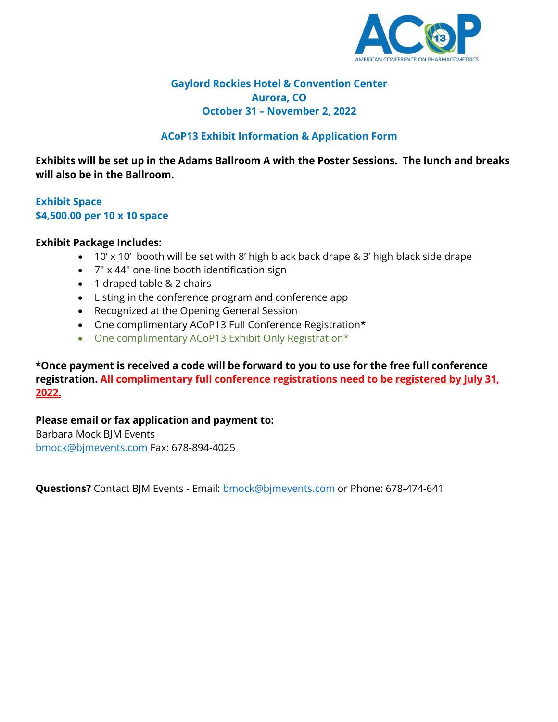

# **Gaylord Rockies Hotel & Convention Center Aurora, CO October 31 – November 2, 2022**

# **ACoP13 Exhibit Information & Application Form**

**Exhibits will be set up in the Adams Ballroom A with the Poster Sessions. The lunch and breaks will also be in the Ballroom.**

# **Exhibit Space \$4,500.00 per 10 x 10 space**

# **Exhibit Package Includes:**

- 10' x 10' booth will be set with 8' high black back drape & 3' high black side drape
- 7" x 44" one-line booth identification sign
- 1 draped table & 2 chairs
- Listing in the conference program and conference app
- Recognized at the Opening General Session
- One complimentary ACoP13 Full Conference Registration\*
- One complimentary ACoP13 Exhibit Only Registration\*

**\*Once payment is received a code will be forward to you to use for the free full conference registration. All complimentary full conference registrations need to be registered by July 31, 2022.**

# **Please email or fax application and payment to:**

Barbara Mock BJM Events [bmock@bjmevents.com](mailto:bmock@bjmevents.com) Fax: 678-894-4025

**Questions?** Contact BJM Events - Email: [bmock@bjmevents.com o](mailto:bmock@bjmevents.com)r Phone: 678-474-641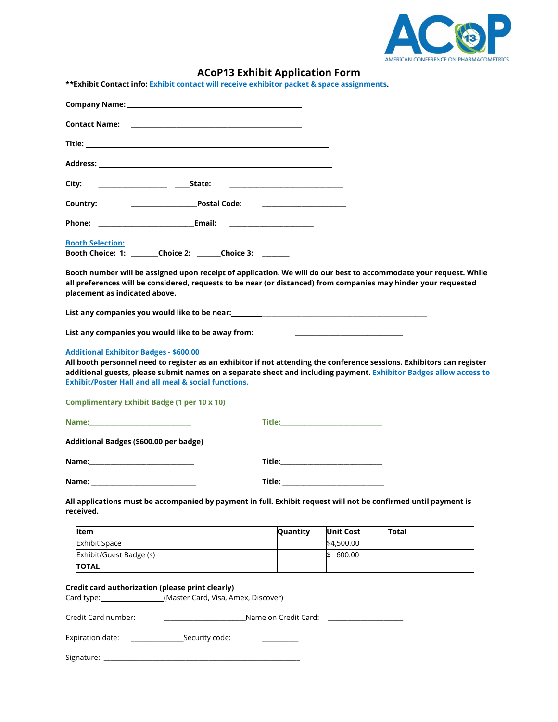

# **ACoP13 Exhibit Application Form**

| **Exhibit Contact info: Exhibit contact will receive exhibitor packet & space assignments.                                                                                                                                                                                                                                                                       |          |                                                                                                                                                                                                                                     |              |  |
|------------------------------------------------------------------------------------------------------------------------------------------------------------------------------------------------------------------------------------------------------------------------------------------------------------------------------------------------------------------|----------|-------------------------------------------------------------------------------------------------------------------------------------------------------------------------------------------------------------------------------------|--------------|--|
| <b>Company Name:</b> The Company Name: The Company Name: The Company Name: The Company Name: The Company Name: The Company Name: The Company Name: The Company Name: The Company Name: The Company Name: The Company Name: The Comp                                                                                                                              |          |                                                                                                                                                                                                                                     |              |  |
|                                                                                                                                                                                                                                                                                                                                                                  |          |                                                                                                                                                                                                                                     |              |  |
|                                                                                                                                                                                                                                                                                                                                                                  |          |                                                                                                                                                                                                                                     |              |  |
|                                                                                                                                                                                                                                                                                                                                                                  |          |                                                                                                                                                                                                                                     |              |  |
|                                                                                                                                                                                                                                                                                                                                                                  |          |                                                                                                                                                                                                                                     |              |  |
| Country: <u>Department Postal Code:</u>                                                                                                                                                                                                                                                                                                                          |          |                                                                                                                                                                                                                                     |              |  |
|                                                                                                                                                                                                                                                                                                                                                                  |          |                                                                                                                                                                                                                                     |              |  |
| <b>Booth Selection:</b>                                                                                                                                                                                                                                                                                                                                          |          |                                                                                                                                                                                                                                     |              |  |
| Booth Choice: 1: Choice 2: Choice 3:                                                                                                                                                                                                                                                                                                                             |          |                                                                                                                                                                                                                                     |              |  |
| Booth number will be assigned upon receipt of application. We will do our best to accommodate your request. While<br>all preferences will be considered, requests to be near (or distanced) from companies may hinder your requested<br>placement as indicated above.                                                                                            |          |                                                                                                                                                                                                                                     |              |  |
|                                                                                                                                                                                                                                                                                                                                                                  |          |                                                                                                                                                                                                                                     |              |  |
| List any companies you would like to be away from: _____________________________                                                                                                                                                                                                                                                                                 |          |                                                                                                                                                                                                                                     |              |  |
| <b>Additional Exhibitor Badges - \$600.00</b><br>All booth personnel need to register as an exhibitor if not attending the conference sessions. Exhibitors can register<br>additional guests, please submit names on a separate sheet and including payment. Exhibitor Badges allow access to<br><b>Exhibit/Poster Hall and all meal &amp; social functions.</b> |          |                                                                                                                                                                                                                                     |              |  |
| <b>Complimentary Exhibit Badge (1 per 10 x 10)</b>                                                                                                                                                                                                                                                                                                               |          |                                                                                                                                                                                                                                     |              |  |
|                                                                                                                                                                                                                                                                                                                                                                  |          | <b>Title:</b> The contract of the contract of the contract of the contract of the contract of the contract of the contract of the contract of the contract of the contract of the contract of the contract of the contract of the c |              |  |
| Additional Badges (\$600.00 per badge)                                                                                                                                                                                                                                                                                                                           |          |                                                                                                                                                                                                                                     |              |  |
|                                                                                                                                                                                                                                                                                                                                                                  |          |                                                                                                                                                                                                                                     |              |  |
| Name:                                                                                                                                                                                                                                                                                                                                                            | Title:   |                                                                                                                                                                                                                                     |              |  |
| All applications must be accompanied by payment in full. Exhibit request will not be confirmed until payment is<br>received.                                                                                                                                                                                                                                     |          |                                                                                                                                                                                                                                     |              |  |
|                                                                                                                                                                                                                                                                                                                                                                  | Quantity | <b>Unit Cost</b>                                                                                                                                                                                                                    | <b>Total</b> |  |
| Item                                                                                                                                                                                                                                                                                                                                                             |          |                                                                                                                                                                                                                                     |              |  |
| <b>Exhibit Space</b>                                                                                                                                                                                                                                                                                                                                             |          | \$4,500.00                                                                                                                                                                                                                          |              |  |
| Exhibit/Guest Badge (s)<br><b>TOTAL</b>                                                                                                                                                                                                                                                                                                                          |          | \$ 600.00                                                                                                                                                                                                                           |              |  |

# **Credit card authorization (please print clearly)**

Card type: \_\_\_\_\_\_\_\_\_\_(Master Card, Visa, Amex, Discover)

Credit Card number: \_\_\_\_\_\_\_\_\_\_\_\_\_\_\_\_\_\_\_\_\_\_\_\_\_Name on Credit Card: \_\_\_\_\_\_\_\_\_\_\_\_\_\_\_\_\_\_\_\_\_\_\_

Expiration date: \_\_\_\_\_\_\_\_\_\_\_\_\_\_\_\_Security code: \_\_\_\_\_\_\_\_\_\_\_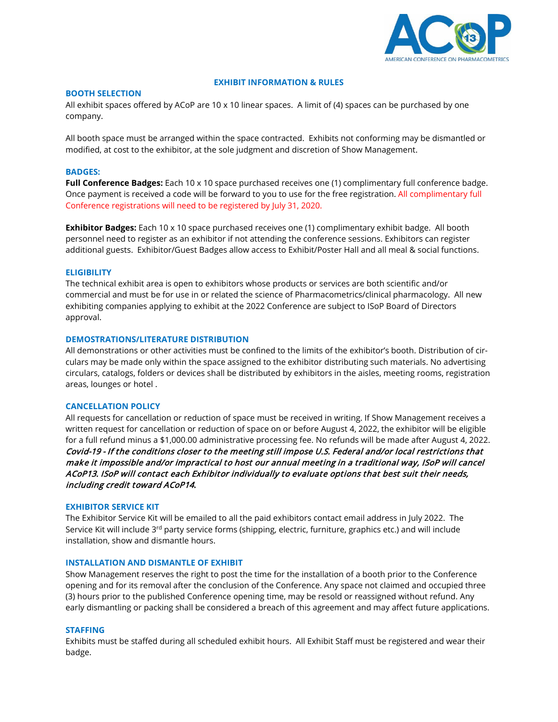

## **EXHIBIT INFORMATION & RULES**

## **BOOTH SELECTION**

All exhibit spaces offered by ACoP are 10 x 10 linear spaces. A limit of (4) spaces can be purchased by one company.

All booth space must be arranged within the space contracted. Exhibits not conforming may be dismantled or modified, at cost to the exhibitor, at the sole judgment and discretion of Show Management.

## **BADGES:**

**Full Conference Badges:** Each 10 x 10 space purchased receives one (1) complimentary full conference badge. Once payment is received a code will be forward to you to use for the free registration. All complimentary full Conference registrations will need to be registered by July 31, 2020.

**Exhibitor Badges:** Each 10 x 10 space purchased receives one (1) complimentary exhibit badge. All booth personnel need to register as an exhibitor if not attending the conference sessions. Exhibitors can register additional guests. Exhibitor/Guest Badges allow access to Exhibit/Poster Hall and all meal & social functions.

## **ELIGIBILITY**

The technical exhibit area is open to exhibitors whose products or services are both scientific and/or commercial and must be for use in or related the science of Pharmacometrics/clinical pharmacology. All new exhibiting companies applying to exhibit at the 2022 Conference are subject to ISoP Board of Directors approval.

### **DEMOSTRATIONS/LITERATURE DISTRIBUTION**

All demonstrations or other activities must be confined to the limits of the exhibitor's booth. Distribution of circulars may be made only within the space assigned to the exhibitor distributing such materials. No advertising circulars, catalogs, folders or devices shall be distributed by exhibitors in the aisles, meeting rooms, registration areas, lounges or hotel .

### **CANCELLATION POLICY**

All requests for cancellation or reduction of space must be received in writing. If Show Management receives a written request for cancellation or reduction of space on or before August 4, 2022, the exhibitor will be eligible for a full refund minus a \$1,000.00 administrative processing fee. No refunds will be made after August 4, 2022. Covid-19 - If the conditions closer to the meeting still impose U.S. Federal and/or local restrictions that make it impossible and/or impractical to host our annual meeting in a traditional way, ISoP will cancel ACoP13. ISoP will contact each Exhibitor individually to evaluate options that best suit their needs, including credit toward ACoP14.

## **EXHIBITOR SERVICE KIT**

The Exhibitor Service Kit will be emailed to all the paid exhibitors contact email address in July 2022. The Service Kit will include 3<sup>rd</sup> party service forms (shipping, electric, furniture, graphics etc.) and will include installation, show and dismantle hours.

### **INSTALLATION AND DISMANTLE OF EXHIBIT**

Show Management reserves the right to post the time for the installation of a booth prior to the Conference opening and for its removal after the conclusion of the Conference. Any space not claimed and occupied three (3) hours prior to the published Conference opening time, may be resold or reassigned without refund. Any early dismantling or packing shall be considered a breach of this agreement and may affect future applications.

### **STAFFING**

Exhibits must be staffed during all scheduled exhibit hours. All Exhibit Staff must be registered and wear their badge.